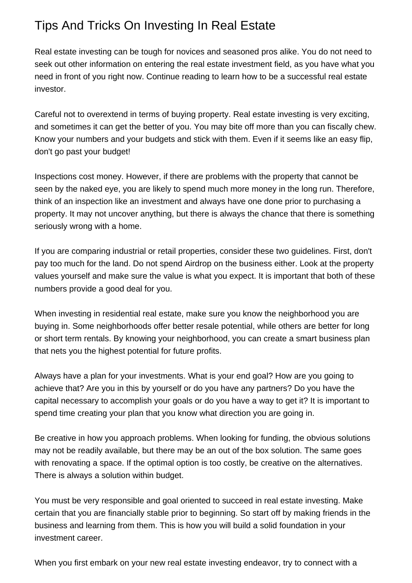## Tips And Tricks On Investing In Real Estate

Real estate investing can be tough for novices and seasoned pros alike. You do not need to seek out other information on entering the real estate investment field, as you have what you need in front of you right now. Continue reading to learn how to be a successful real estate investor.

Careful not to overextend in terms of buying property. Real estate investing is very exciting, and sometimes it can get the better of you. You may bite off more than you can fiscally chew. Know your numbers and your budgets and stick with them. Even if it seems like an easy flip, don't go past your budget!

Inspections cost money. However, if there are problems with the property that cannot be seen by the naked eye, you are likely to spend much more money in the long run. Therefore, think of an inspection like an investment and always have one done prior to purchasing a property. It may not uncover anything, but there is always the chance that there is something seriously wrong with a home.

If you are comparing industrial or retail properties, consider these two guidelines. First, don't pay too much for the land. Do not spend [Airdrop](https://blogfreely.net/mcintyrelist65/how-to-get-the-most-from-your-investments) on the business either. Look at the property values yourself and make sure the value is what you expect. It is important that both of these numbers provide a good deal for you.

When investing in residential real estate, make sure you know the neighborhood you are buying in. Some neighborhoods offer better resale potential, while others are better for long or short term rentals. By knowing your neighborhood, you can create a smart business plan that nets you the highest potential for future profits.

Always have a plan for your investments. What is your end goal? How are you going to achieve that? Are you in this by yourself or do you have any partners? Do you have the capital necessary to accomplish your goals or do you have a way to get it? It is important to spend time creating your plan that you know what direction you are going in.

Be creative in how you approach problems. When looking for funding, the obvious solutions may not be readily available, but there may be an out of the box solution. The same goes with renovating a space. If the optimal option is too costly, be creative on the alternatives. There is always a solution within budget.

You must be very responsible and goal oriented to succeed in real estate investing. Make certain that you are financially stable prior to beginning. So start off by making friends in the business and learning from them. This is how you will build a solid foundation in your investment career.

When you first embark on your new real estate investing endeavor, try to connect with a